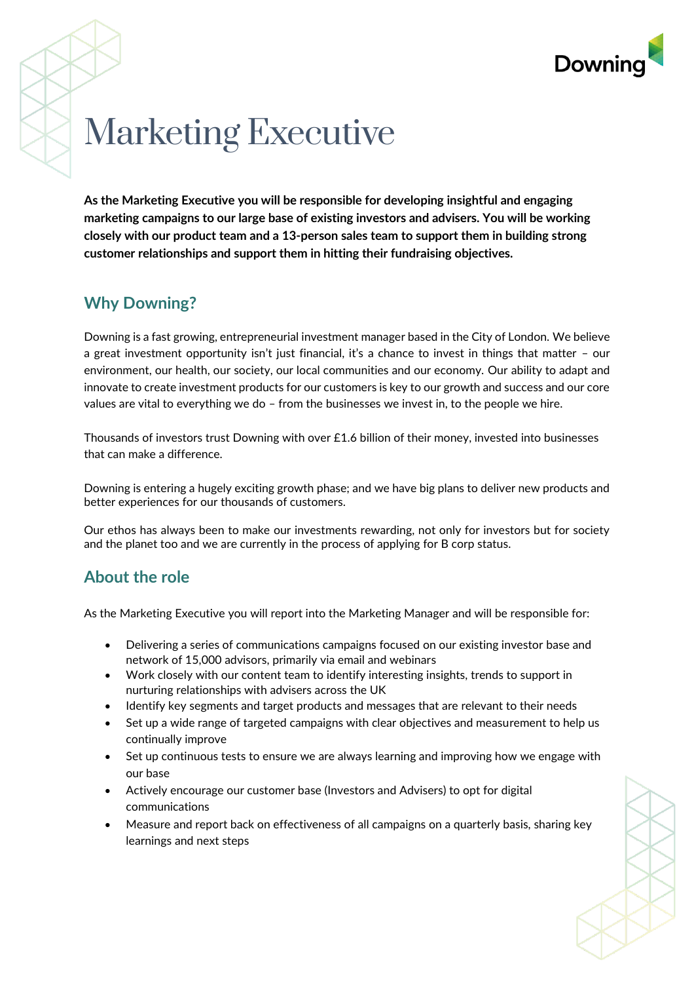

# Marketing Executive

**As the Marketing Executive you will be responsible for developing insightful and engaging marketing campaigns to our large base of existing investors and advisers. You will be working closely with our product team and a 13-person sales team to support them in building strong customer relationships and support them in hitting their fundraising objectives.**

# **Why Downing?**

Downing is a fast growing, entrepreneurial investment manager based in the City of London. We believe a great investment opportunity isn't just financial, it's a chance to invest in things that matter – our environment, our health, our society, our local communities and our economy. Our ability to adapt and innovate to create investment products for our customers is key to our growth and success and our core values are vital to everything we do – from the businesses we invest in, to the people we hire.

Thousands of investors trust Downing with over £1.6 billion of their money, invested into businesses that can make a difference.

Downing is entering a hugely exciting growth phase; and we have big plans to deliver new products and better experiences for our thousands of customers.

Our ethos has always been to make our investments rewarding, not only for investors but for society and the planet too and we are currently in the process of applying for B corp status.

#### **About the role**

As the Marketing Executive you will report into the Marketing Manager and will be responsible for:

- Delivering a series of communications campaigns focused on our existing investor base and network of 15,000 advisors, primarily via email and webinars
- Work closely with our content team to identify interesting insights, trends to support in nurturing relationships with advisers across the UK
- Identify key segments and target products and messages that are relevant to their needs
- Set up a wide range of targeted campaigns with clear objectives and measurement to help us continually improve
- Set up continuous tests to ensure we are always learning and improving how we engage with our base
- Actively encourage our customer base (Investors and Advisers) to opt for digital communications
- Measure and report back on effectiveness of all campaigns on a quarterly basis, sharing key learnings and next steps